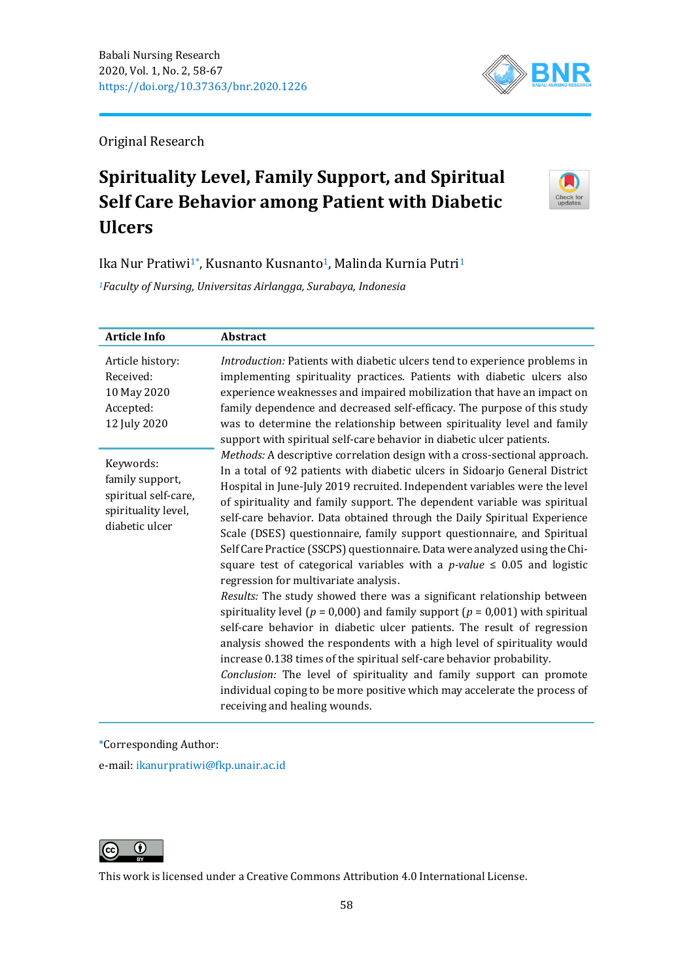

Original Research

# **Spirituality Level, Family Support, and Spiritual Self Care Behavior among Patient with Diabetic Ulcers**



Ika Nur Pratiwi<sup>1</sup>\*, Kusnanto Kusnanto<sup>1</sup>, Malinda Kurnia Putri<sup>1</sup>

*<sup>1</sup>Faculty of Nursing, Universitas Airlangga, Surabaya, Indonesia*

| <b>Article Info</b>                                                                           | <b>Abstract</b>                                                                                                                                                                                                                                                                                                                                                                                                                                                                                                                                                                                                                                                                                                                                                                                                                                                                                                                                                                                                                                                                                                                                                                                                                                                                  |
|-----------------------------------------------------------------------------------------------|----------------------------------------------------------------------------------------------------------------------------------------------------------------------------------------------------------------------------------------------------------------------------------------------------------------------------------------------------------------------------------------------------------------------------------------------------------------------------------------------------------------------------------------------------------------------------------------------------------------------------------------------------------------------------------------------------------------------------------------------------------------------------------------------------------------------------------------------------------------------------------------------------------------------------------------------------------------------------------------------------------------------------------------------------------------------------------------------------------------------------------------------------------------------------------------------------------------------------------------------------------------------------------|
| Article history:<br>Received:<br>10 May 2020<br>Accepted:<br>12 July 2020                     | Introduction: Patients with diabetic ulcers tend to experience problems in<br>implementing spirituality practices. Patients with diabetic ulcers also<br>experience weaknesses and impaired mobilization that have an impact on<br>family dependence and decreased self-efficacy. The purpose of this study<br>was to determine the relationship between spirituality level and family<br>support with spiritual self-care behavior in diabetic ulcer patients.                                                                                                                                                                                                                                                                                                                                                                                                                                                                                                                                                                                                                                                                                                                                                                                                                  |
| Keywords:<br>family support,<br>spiritual self-care,<br>spirituality level,<br>diabetic ulcer | Methods: A descriptive correlation design with a cross-sectional approach.<br>In a total of 92 patients with diabetic ulcers in Sidoarjo General District<br>Hospital in June-July 2019 recruited. Independent variables were the level<br>of spirituality and family support. The dependent variable was spiritual<br>self-care behavior. Data obtained through the Daily Spiritual Experience<br>Scale (DSES) questionnaire, family support questionnaire, and Spiritual<br>Self Care Practice (SSCPS) questionnaire. Data were analyzed using the Chi-<br>square test of categorical variables with a <i>p-value</i> $\leq$ 0.05 and logistic<br>regression for multivariate analysis.<br>Results: The study showed there was a significant relationship between<br>spirituality level ( $p = 0.000$ ) and family support ( $p = 0.001$ ) with spiritual<br>self-care behavior in diabetic ulcer patients. The result of regression<br>analysis showed the respondents with a high level of spirituality would<br>increase 0.138 times of the spiritual self-care behavior probability.<br>Conclusion: The level of spirituality and family support can promote<br>individual coping to be more positive which may accelerate the process of<br>receiving and healing wounds. |

\*Corresponding Author:

e-mail: [ikanurpratiwi@fkp.unair.ac.id](mailto:ikanurpratiwi@fkp.unair.ac.id)



This work is licensed under a [Creative Commons Attribution 4.0 International License.](https://creativecommons.org/licenses/by/4.0/)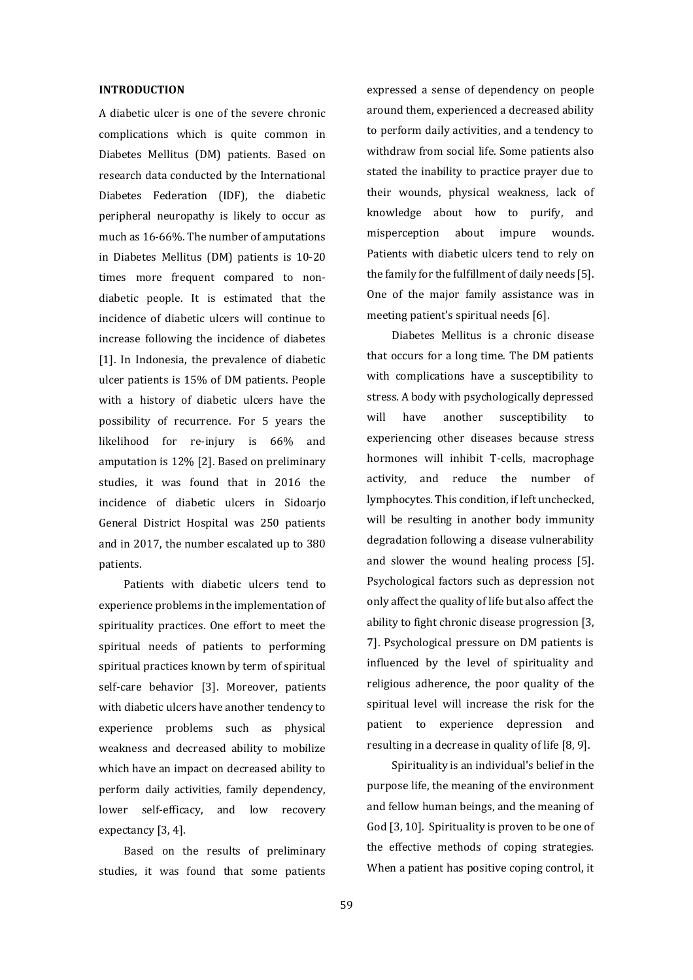#### **INTRODUCTION**

A diabetic ulcer is one of the severe chronic complications which is quite common in Diabetes Mellitus (DM) patients. Based on research data conducted by the International Diabetes Federation (IDF), the diabetic peripheral neuropathy is likely to occur as much as 16-66%. The number of amputations in Diabetes Mellitus (DM) patients is 10-20 times more frequent compared to nondiabetic people. It is estimated that the incidence of diabetic ulcers will continue to increase following the incidence of diabetes [1]. In Indonesia, the prevalence of diabetic ulcer patients is 15% of DM patients. People with a history of diabetic ulcers have the possibility of recurrence. For 5 years the likelihood for re-injury is 66% and amputation is 12% [2]. Based on preliminary studies, it was found that in 2016 the incidence of diabetic ulcers in Sidoarjo General District Hospital was 250 patients and in 2017, the number escalated up to 380 patients.

Patients with diabetic ulcers tend to experience problems in the implementation of spirituality practices. One effort to meet the spiritual needs of patients to performing spiritual practices known by term of spiritual self-care behavior [3]. Moreover, patients with diabetic ulcers have another tendency to experience problems such as physical weakness and decreased ability to mobilize which have an impact on decreased ability to perform daily activities, family dependency, lower self-efficacy, and low recovery expectancy [3, 4].

Based on the results of preliminary studies, it was found that some patients expressed a sense of dependency on people around them, experienced a decreased ability to perform daily activities, and a tendency to withdraw from social life. Some patients also stated the inability to practice prayer due to their wounds, physical weakness, lack of knowledge about how to purify, and misperception about impure wounds. Patients with diabetic ulcers tend to rely on the family for the fulfillment of daily needs [5]. One of the major family assistance was in meeting patient's spiritual needs [6].

Diabetes Mellitus is a chronic disease that occurs for a long time. The DM patients with complications have a susceptibility to stress. A body with psychologically depressed will have another susceptibility to experiencing other diseases because stress hormones will inhibit T-cells, macrophage activity, and reduce the number of lymphocytes. This condition, if left unchecked, will be resulting in another body immunity degradation following a disease vulnerability and slower the wound healing process [5]. Psychological factors such as depression not only affect the quality of life but also affect the ability to fight chronic disease progression [3, 7]. Psychological pressure on DM patients is influenced by the level of spirituality and religious adherence, the poor quality of the spiritual level will increase the risk for the patient to experience depression and resulting in a decrease in quality of life [8, 9].

Spirituality is an individual's belief in the purpose life, the meaning of the environment and fellow human beings, and the meaning of God [3, 10]. Spirituality is proven to be one of the effective methods of coping strategies. When a patient has positive coping control, it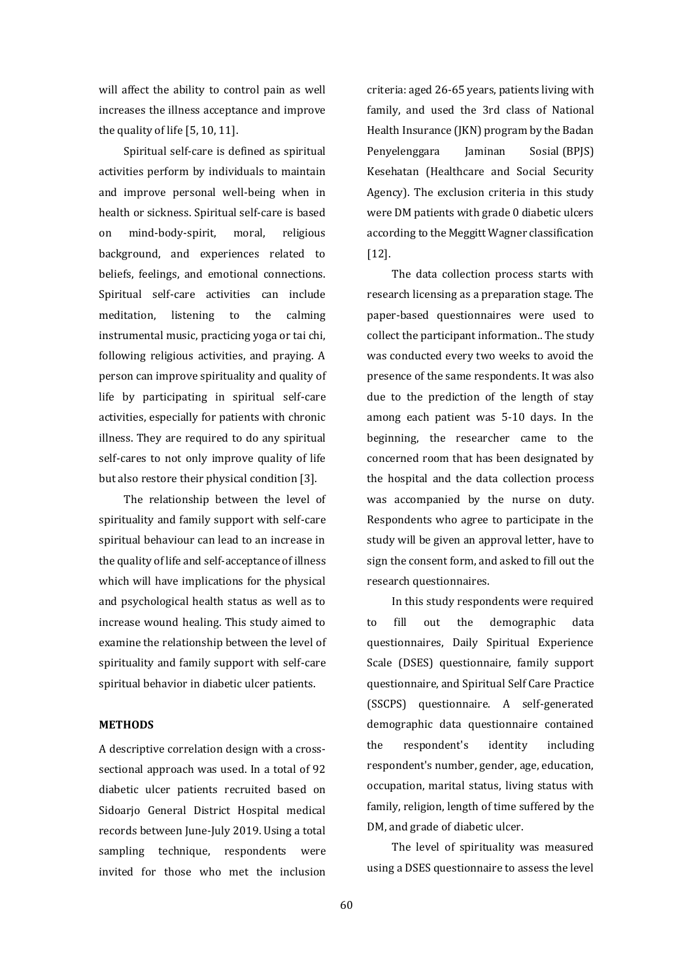will affect the ability to control pain as well increases the illness acceptance and improve the quality of life [5, 10, 11].

Spiritual self-care is defined as spiritual activities perform by individuals to maintain and improve personal well-being when in health or sickness. Spiritual self-care is based on mind-body-spirit, moral, religious background, and experiences related to beliefs, feelings, and emotional connections. Spiritual self-care activities can include meditation, listening to the calming instrumental music, practicing yoga or tai chi, following religious activities, and praying. A person can improve spirituality and quality of life by participating in spiritual self-care activities, especially for patients with chronic illness. They are required to do any spiritual self-cares to not only improve quality of life but also restore their physical condition [3].

The relationship between the level of spirituality and family support with self-care spiritual behaviour can lead to an increase in the quality of life and self-acceptance of illness which will have implications for the physical and psychological health status as well as to increase wound healing. This study aimed to examine the relationship between the level of spirituality and family support with self-care spiritual behavior in diabetic ulcer patients.

## **METHODS**

A descriptive correlation design with a crosssectional approach was used. In a total of 92 diabetic ulcer patients recruited based on Sidoarjo General District Hospital medical records between June-July 2019. Using a total sampling technique, respondents were invited for those who met the inclusion criteria: aged 26-65 years, patients living with family, and used the 3rd class of National Health Insurance (JKN) program by the Badan Penyelenggara Jaminan Sosial (BPJS) Kesehatan (Healthcare and Social Security Agency). The exclusion criteria in this study were DM patients with grade 0 diabetic ulcers according to the Meggitt Wagner classification [12].

The data collection process starts with research licensing as a preparation stage. The paper-based questionnaires were used to collect the participant information.. The study was conducted every two weeks to avoid the presence of the same respondents. It was also due to the prediction of the length of stay among each patient was 5-10 days. In the beginning, the researcher came to the concerned room that has been designated by the hospital and the data collection process was accompanied by the nurse on duty. Respondents who agree to participate in the study will be given an approval letter, have to sign the consent form, and asked to fill out the research questionnaires.

In this study respondents were required to fill out the demographic data questionnaires, Daily Spiritual Experience Scale (DSES) questionnaire, family support questionnaire, and Spiritual Self Care Practice (SSCPS) questionnaire. A self-generated demographic data questionnaire contained the respondent's identity including respondent's number, gender, age, education, occupation, marital status, living status with family, religion, length of time suffered by the DM, and grade of diabetic ulcer.

The level of spirituality was measured using a DSES questionnaire to assess the level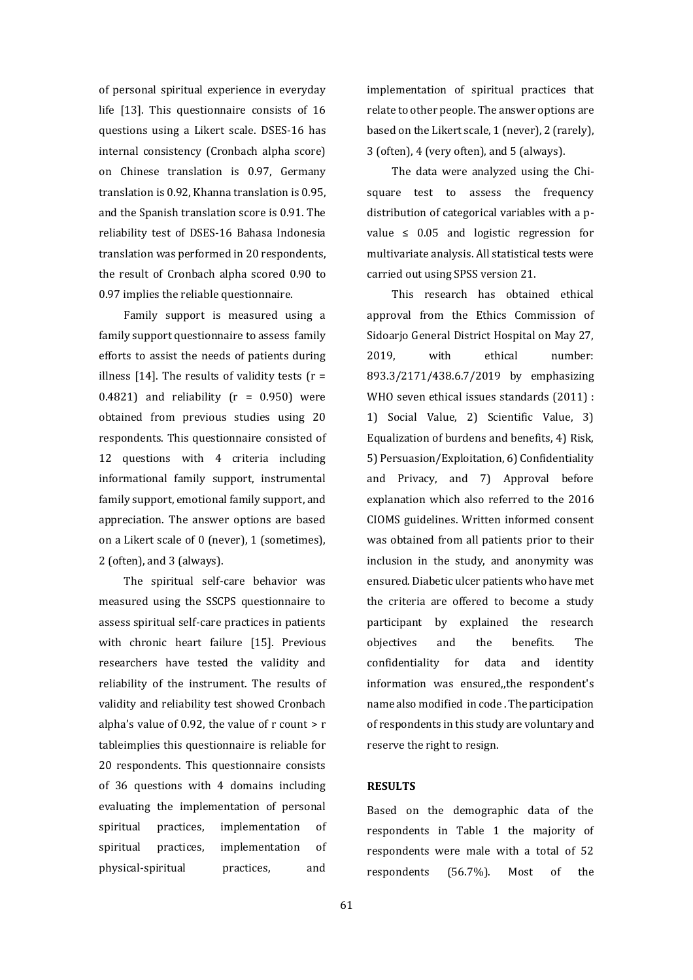of personal spiritual experience in everyday life [13]. This questionnaire consists of 16 questions using a Likert scale. DSES-16 has internal consistency (Cronbach alpha score) on Chinese translation is 0.97, Germany translation is 0.92, Khanna translation is 0.95, and the Spanish translation score is 0.91. The reliability test of DSES-16 Bahasa Indonesia translation was performed in 20 respondents, the result of Cronbach alpha scored 0.90 to 0.97 implies the reliable questionnaire.

Family support is measured using a family support questionnaire to assess family efforts to assist the needs of patients during illness [14]. The results of validity tests  $(r =$ 0.4821) and reliability  $(r = 0.950)$  were obtained from previous studies using 20 respondents. This questionnaire consisted of 12 questions with 4 criteria including informational family support, instrumental family support, emotional family support, and appreciation. The answer options are based on a Likert scale of 0 (never), 1 (sometimes), 2 (often), and 3 (always).

The spiritual self-care behavior was measured using the SSCPS questionnaire to assess spiritual self-care practices in patients with chronic heart failure [15]. Previous researchers have tested the validity and reliability of the instrument. The results of validity and reliability test showed Cronbach alpha's value of 0.92, the value of  $r$  count  $> r$ tableimplies this questionnaire is reliable for 20 respondents. This questionnaire consists of 36 questions with 4 domains including evaluating the implementation of personal spiritual practices, implementation of spiritual practices, implementation of physical-spiritual practices, and

implementation of spiritual practices that relate to other people. The answer options are based on the Likert scale, 1 (never), 2 (rarely), 3 (often), 4 (very often), and 5 (always).

The data were analyzed using the Chisquare test to assess the frequency distribution of categorical variables with a pvalue  $\leq$  0.05 and logistic regression for multivariate analysis. All statistical tests were carried out using SPSS version 21.

This research has obtained ethical approval from the Ethics Commission of Sidoarjo General District Hospital on May 27, 2019, with ethical number: 893.3/2171/438.6.7/2019 by emphasizing WHO seven ethical issues standards (2011) : 1) Social Value, 2) Scientific Value, 3) Equalization of burdens and benefits, 4) Risk, 5) Persuasion/Exploitation, 6) Confidentiality and Privacy, and 7) Approval before explanation which also referred to the 2016 CIOMS guidelines. Written informed consent was obtained from all patients prior to their inclusion in the study, and anonymity was ensured. Diabetic ulcer patients who have met the criteria are offered to become a study participant by explained the research objectives and the benefits. The confidentiality for data and identity information was ensured,,the respondent's name also modified in code . The participation of respondents in this study are voluntary and reserve the right to resign.

#### **RESULTS**

Based on the demographic data of the respondents in Table 1 the majority of respondents were male with a total of 52 respondents (56.7%). Most of the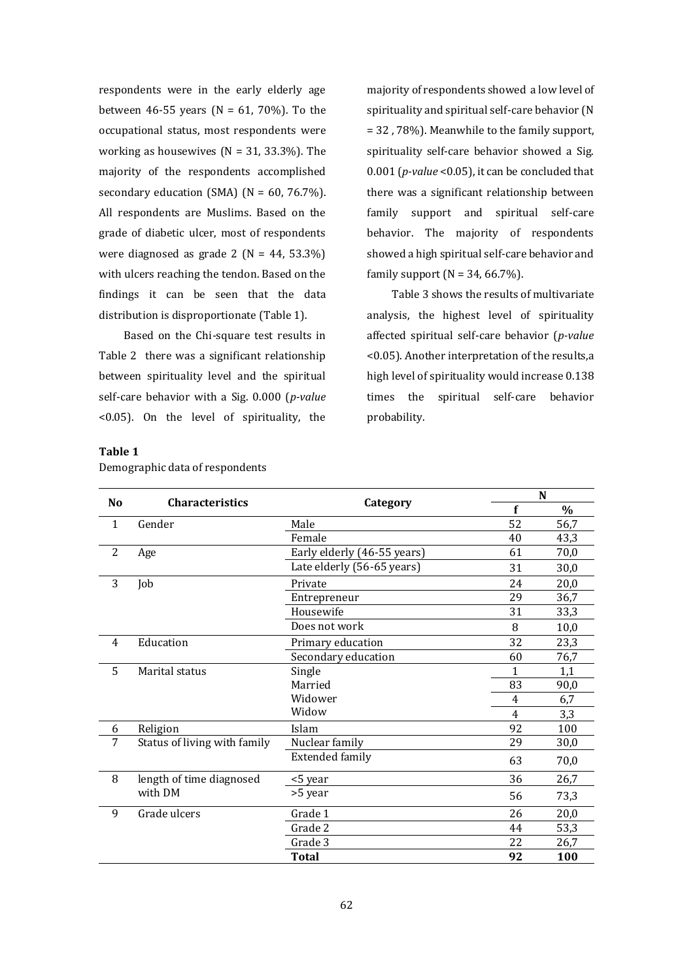respondents were in the early elderly age between 46-55 years (N = 61, 70%). To the occupational status, most respondents were working as housewives ( $N = 31, 33.3\%$ ). The majority of the respondents accomplished secondary education (SMA) ( $N = 60$ , 76.7%). All respondents are Muslims. Based on the grade of diabetic ulcer, most of respondents were diagnosed as grade  $2 (N = 44, 53.3\%)$ with ulcers reaching the tendon. Based on the findings it can be seen that the data distribution is disproportionate (Table 1).

Based on the Chi-square test results in Table 2 there was a significant relationship between spirituality level and the spiritual self-care behavior with a Sig. 0.000 (*p-value* <0.05). On the level of spirituality, the

majority of respondents showed a low level of spirituality and spiritual self-care behavior (N = 32 , 78%). Meanwhile to the family support, spirituality self-care behavior showed a Sig. 0.001 (*p-value* <0.05), it can be concluded that there was a significant relationship between family support and spiritual self-care behavior. The majority of respondents showed a high spiritual self-care behavior and family support  $(N = 34, 66.7\%)$ .

Table 3 shows the results of multivariate analysis, the highest level of spirituality affected spiritual self-care behavior (*p-value* <0.05). Another interpretation of the results,a high level of spirituality would increase 0.138 times the spiritual self-care behavior probability.

## **Table 1**

| N <sub>0</sub> |                              |                             |    | N    |  |
|----------------|------------------------------|-----------------------------|----|------|--|
|                | <b>Characteristics</b>       | Category                    | f  | $\%$ |  |
| $\mathbf{1}$   | Gender                       | Male                        | 52 | 56,7 |  |
|                |                              | Female                      | 40 | 43,3 |  |
| 2              | Age                          | Early elderly (46-55 years) | 61 | 70,0 |  |
|                |                              | Late elderly (56-65 years)  | 31 | 30,0 |  |
| 3              | Job                          | Private                     | 24 | 20,0 |  |
|                |                              | Entrepreneur                | 29 | 36,7 |  |
|                |                              | Housewife                   | 31 | 33,3 |  |
|                |                              | Does not work               | 8  | 10,0 |  |
| 4              | Education                    | Primary education           | 32 | 23,3 |  |
|                |                              | Secondary education         | 60 | 76,7 |  |
| 5              | Marital status               | Single                      | 1  | 1,1  |  |
|                |                              | Married                     | 83 | 90,0 |  |
|                |                              | Widower                     | 4  | 6,7  |  |
|                |                              | Widow                       | 4  | 3,3  |  |
| 6              | Religion                     | Islam                       | 92 | 100  |  |
| 7              | Status of living with family | Nuclear family              | 29 | 30,0 |  |
|                |                              | <b>Extended family</b>      | 63 | 70,0 |  |
| 8              | length of time diagnosed     | <5 year                     | 36 | 26,7 |  |
|                | with DM                      | >5 year                     | 56 | 73,3 |  |
| 9              | Grade ulcers                 | Grade 1                     | 26 | 20,0 |  |
|                |                              | Grade 2                     | 44 | 53,3 |  |
|                |                              | Grade 3                     | 22 | 26,7 |  |
|                |                              | <b>Total</b>                | 92 | 100  |  |

Demographic data of respondents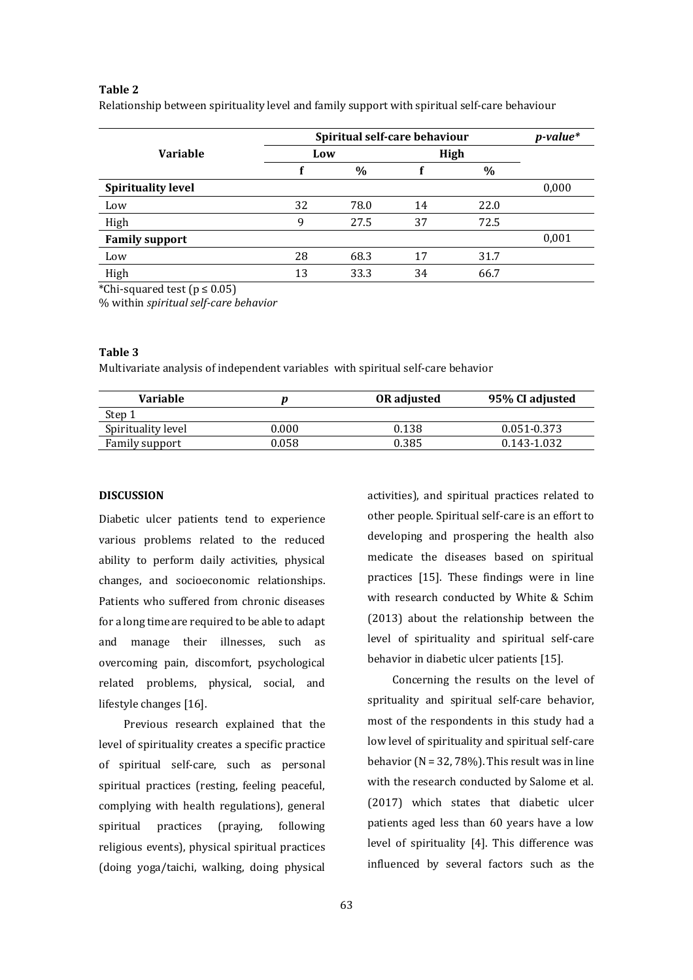# **Table 2**

Relationship between spirituality level and family support with spiritual self-care behaviour

|                           | Spiritual self-care behaviour |      |      |      | $p$ -value* |
|---------------------------|-------------------------------|------|------|------|-------------|
| <b>Variable</b>           | Low                           |      | High |      |             |
|                           |                               | $\%$ |      | $\%$ |             |
| <b>Spirituality level</b> |                               |      |      |      | 0,000       |
| Low                       | 32                            | 78.0 | 14   | 22.0 |             |
| High                      | 9                             | 27.5 | 37   | 72.5 |             |
| <b>Family support</b>     |                               |      |      |      | 0,001       |
| Low                       | 28                            | 68.3 | 17   | 31.7 |             |
| High                      | 13                            | 33.3 | 34   | 66.7 |             |

\*Chi-squared test ( $p \le 0.05$ )

% within *spiritual self-care behavior*

# **Table 3**

Multivariate analysis of independent variables with spiritual self-care behavior

| Variable           |       | <b>OR</b> adjusted | 95% CI adjusted |
|--------------------|-------|--------------------|-----------------|
| Step 1             |       |                    |                 |
| Spirituality level | 0.000 | 0.138              | 0.051-0.373     |
| Family support     | ).058 | 0.385              | 0.143-1.032     |

## **DISCUSSION**

Diabetic ulcer patients tend to experience various problems related to the reduced ability to perform daily activities, physical changes, and socioeconomic relationships. Patients who suffered from chronic diseases for a long time are required to be able to adapt and manage their illnesses, such as overcoming pain, discomfort, psychological related problems, physical, social, and lifestyle changes [16].

Previous research explained that the level of spirituality creates a specific practice of spiritual self-care, such as personal spiritual practices (resting, feeling peaceful, complying with health regulations), general spiritual practices (praying, following religious events), physical spiritual practices (doing yoga/taichi, walking, doing physical

activities), and spiritual practices related to other people. Spiritual self-care is an effort to developing and prospering the health also medicate the diseases based on spiritual practices [15]. These findings were in line with research conducted by White & Schim (2013) about the relationship between the level of spirituality and spiritual self-care behavior in diabetic ulcer patients [15].

Concerning the results on the level of sprituality and spiritual self-care behavior, most of the respondents in this study had a low level of spirituality and spiritual self-care behavior ( $N = 32, 78\%$ ). This result was in line with the research conducted by Salome et al. (2017) which states that diabetic ulcer patients aged less than 60 years have a low level of spirituality [4]. This difference was influenced by several factors such as the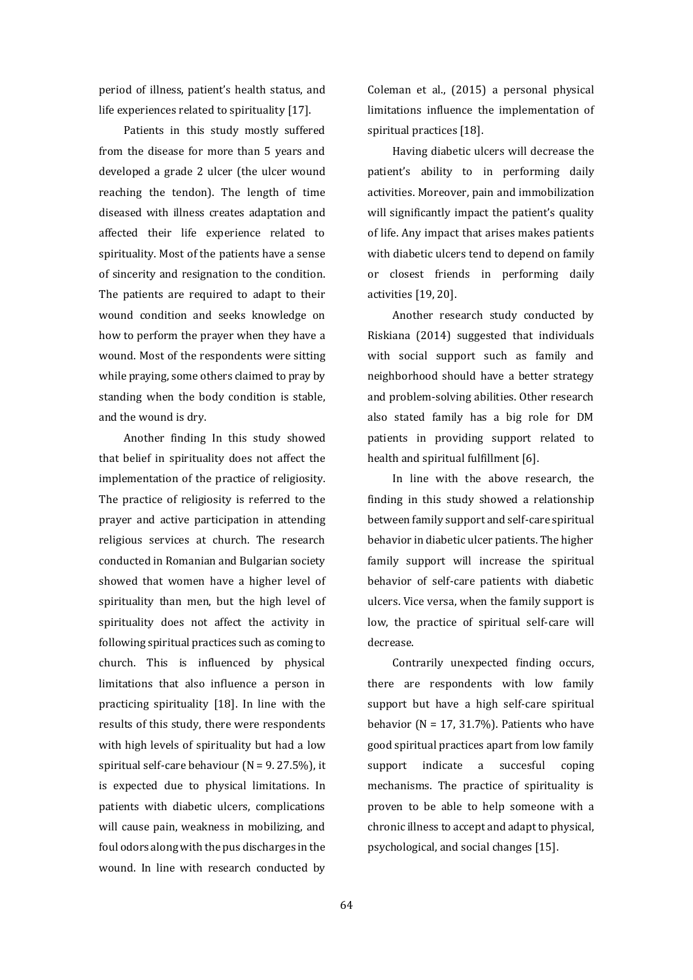period of illness, patient's health status, and life experiences related to spirituality [17].

Patients in this study mostly suffered from the disease for more than 5 years and developed a grade 2 ulcer (the ulcer wound reaching the tendon). The length of time diseased with illness creates adaptation and affected their life experience related to spirituality. Most of the patients have a sense of sincerity and resignation to the condition. The patients are required to adapt to their wound condition and seeks knowledge on how to perform the prayer when they have a wound. Most of the respondents were sitting while praying, some others claimed to pray by standing when the body condition is stable, and the wound is dry.

Another finding In this study showed that belief in spirituality does not affect the implementation of the practice of religiosity. The practice of religiosity is referred to the prayer and active participation in attending religious services at church. The research conducted in Romanian and Bulgarian society showed that women have a higher level of spirituality than men, but the high level of spirituality does not affect the activity in following spiritual practices such as coming to church. This is influenced by physical limitations that also influence a person in practicing spirituality [18]. In line with the results of this study, there were respondents with high levels of spirituality but had a low spiritual self-care behaviour ( $N = 9.27.5\%$ ), it is expected due to physical limitations. In patients with diabetic ulcers, complications will cause pain, weakness in mobilizing, and foul odors along with the pus discharges in the wound. In line with research conducted by Coleman et al., (2015) a personal physical limitations influence the implementation of spiritual practices [18].

Having diabetic ulcers will decrease the patient's ability to in performing daily activities. Moreover, pain and immobilization will significantly impact the patient's quality of life. Any impact that arises makes patients with diabetic ulcers tend to depend on family or closest friends in performing daily activities [19, 20].

Another research study conducted by Riskiana (2014) suggested that individuals with social support such as family and neighborhood should have a better strategy and problem-solving abilities. Other research also stated family has a big role for DM patients in providing support related to health and spiritual fulfillment [6].

In line with the above research, the finding in this study showed a relationship between family support and self-care spiritual behavior in diabetic ulcer patients. The higher family support will increase the spiritual behavior of self-care patients with diabetic ulcers. Vice versa, when the family support is low, the practice of spiritual self-care will decrease.

Contrarily unexpected finding occurs, there are respondents with low family support but have a high self-care spiritual behavior ( $N = 17, 31.7\%$ ). Patients who have good spiritual practices apart from low family support indicate a succesful coping mechanisms. The practice of spirituality is proven to be able to help someone with a chronic illness to accept and adapt to physical, psychological, and social changes [15].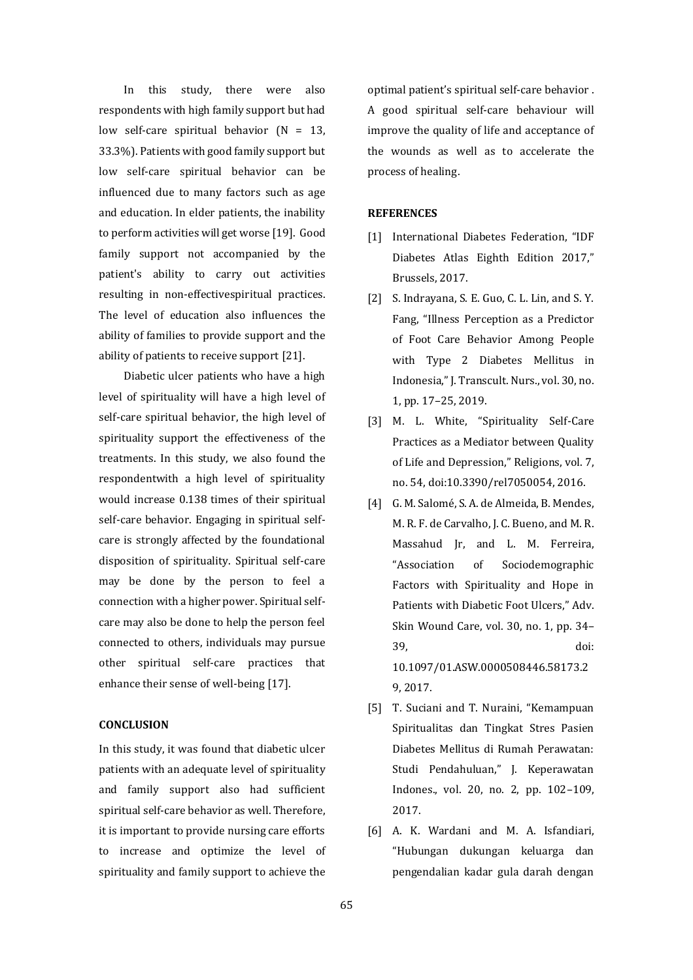In this study, there were also respondents with high family support but had low self-care spiritual behavior  $(N = 13,$ 33.3%). Patients with good family support but low self-care spiritual behavior can be influenced due to many factors such as age and education. In elder patients, the inability to perform activities will get worse [19]. Good family support not accompanied by the patient's ability to carry out activities resulting in non-effectivespiritual practices. The level of education also influences the ability of families to provide support and the ability of patients to receive support [21].

Diabetic ulcer patients who have a high level of spirituality will have a high level of self-care spiritual behavior, the high level of spirituality support the effectiveness of the treatments. In this study, we also found the respondentwith a high level of spirituality would increase 0.138 times of their spiritual self-care behavior. Engaging in spiritual selfcare is strongly affected by the foundational disposition of spirituality. Spiritual self-care may be done by the person to feel a connection with a higher power. Spiritual selfcare may also be done to help the person feel connected to others, individuals may pursue other spiritual self-care practices that enhance their sense of well-being [17].

## **CONCLUSION**

In this study, it was found that diabetic ulcer patients with an adequate level of spirituality and family support also had sufficient spiritual self-care behavior as well. Therefore, it is important to provide nursing care efforts to increase and optimize the level of spirituality and family support to achieve the

optimal patient's spiritual self-care behavior . A good spiritual self-care behaviour will improve the quality of life and acceptance of the wounds as well as to accelerate the process of healing.

## **REFERENCES**

- [1] International Diabetes Federation, "IDF Diabetes Atlas Eighth Edition 2017," Brussels, 2017.
- [2] S. Indrayana, S. E. Guo, C. L. Lin, and S. Y. Fang, "Illness Perception as a Predictor of Foot Care Behavior Among People with Type 2 Diabetes Mellitus in Indonesia," J. Transcult. Nurs., vol. 30, no. 1, pp. 17–25, 2019.
- [3] M. L. White, "Spirituality Self-Care Practices as a Mediator between Quality of Life and Depression," Religions, vol. 7, no. 54, doi:10.3390/rel7050054, 2016.
- [4] G. M. Salomé, S. A. de Almeida, B. Mendes, M. R. F. de Carvalho, J. C. Bueno, and M. R. Massahud Jr, and L. M. Ferreira, "Association of Sociodemographic Factors with Spirituality and Hope in Patients with Diabetic Foot Ulcers," Adv. Skin Wound Care, vol. 30, no. 1, pp. 34– 39, doi: 10.1097/01.ASW.0000508446.58173.2 9, 2017.
- [5] T. Suciani and T. Nuraini, "Kemampuan Spiritualitas dan Tingkat Stres Pasien Diabetes Mellitus di Rumah Perawatan: Studi Pendahuluan," J. Keperawatan Indones., vol. 20, no. 2, pp. 102–109, 2017.
- [6] A. K. Wardani and M. A. Isfandiari, "Hubungan dukungan keluarga dan pengendalian kadar gula darah dengan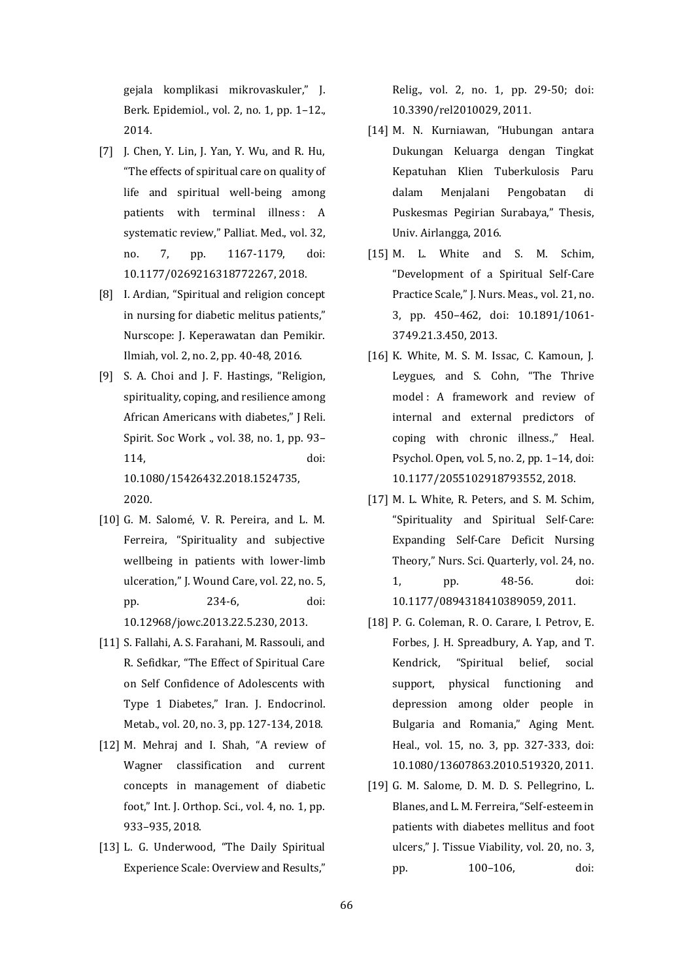gejala komplikasi mikrovaskuler," J. Berk. Epidemiol., vol. 2, no. 1, pp. 1–12., 2014.

- [7] J. Chen, Y. Lin, J. Yan, Y. Wu, and R. Hu, "The effects of spiritual care on quality of life and spiritual well-being among patients with terminal illness: A systematic review," Palliat. Med., vol. 32, no. 7, pp. 1167-1179, doi: 10.1177/0269216318772267, 2018.
- [8] I. Ardian, "Spiritual and religion concept in nursing for diabetic melitus patients," Nurscope: J. Keperawatan dan Pemikir. Ilmiah, vol. 2, no. 2, pp. 40-48, 2016.
- [9] S. A. Choi and J. F. Hastings, "Religion, spirituality, coping, and resilience among African Americans with diabetes," J Reli. Spirit. Soc Work ., vol. 38, no. 1, pp. 93– 114, doi: 10.1080/15426432.2018.1524735, 2020.
- [10] G. M. Salomé, V. R. Pereira, and L. M. Ferreira, "Spirituality and subjective wellbeing in patients with lower-limb ulceration," J. Wound Care, vol. 22, no. 5, pp. 234-6, doi: 10.12968/jowc.2013.22.5.230, 2013.
- [11] S. Fallahi, A. S. Farahani, M. Rassouli, and R. Sefidkar, "The Effect of Spiritual Care on Self Confidence of Adolescents with Type 1 Diabetes," Iran. J. Endocrinol. Metab., vol. 20, no. 3, pp. 127-134, 2018.
- [12] M. Mehraj and I. Shah, "A review of Wagner classification and current concepts in management of diabetic foot," Int. J. Orthop. Sci., vol. 4, no. 1, pp. 933–935, 2018.
- [13] L. G. Underwood, "The Daily Spiritual Experience Scale: Overview and Results,"

Relig., vol. 2, no. 1, pp. 29-50; doi: 10.3390/rel2010029, 2011.

- [14] M. N. Kurniawan, "Hubungan antara Dukungan Keluarga dengan Tingkat Kepatuhan Klien Tuberkulosis Paru dalam Menjalani Pengobatan di Puskesmas Pegirian Surabaya," Thesis, Univ. Airlangga, 2016.
- [15] M. L. White and S. M. Schim, "Development of a Spiritual Self-Care Practice Scale," J. Nurs. Meas., vol. 21, no. 3, pp. 450–462, doi: 10.1891/1061- 3749.21.3.450, 2013.
- [16] K. White, M. S. M. Issac, C. Kamoun, J. Leygues, and S. Cohn, "The Thrive model : A framework and review of internal and external predictors of coping with chronic illness.," Heal. Psychol. Open, vol. 5, no. 2, pp. 1–14, doi: 10.1177/2055102918793552, 2018.
- [17] M. L. White, R. Peters, and S. M. Schim, "Spirituality and Spiritual Self-Care: Expanding Self-Care Deficit Nursing Theory," Nurs. Sci. Quarterly, vol. 24, no. 1, pp. 48-56. doi: 10.1177/0894318410389059, 2011.
- [18] P. G. Coleman, R. O. Carare, I. Petrov, E. Forbes, J. H. Spreadbury, A. Yap, and T. Kendrick, "Spiritual belief, social support, physical functioning and depression among older people in Bulgaria and Romania," Aging Ment. Heal., vol. 15, no. 3, pp. 327-333, doi: 10.1080/13607863.2010.519320, 2011.
- [19] G. M. Salome, D. M. D. S. Pellegrino, L. Blanes, and L. M. Ferreira, "Self-esteem in patients with diabetes mellitus and foot ulcers," J. Tissue Viability, vol. 20, no. 3, pp. 100–106, doi: